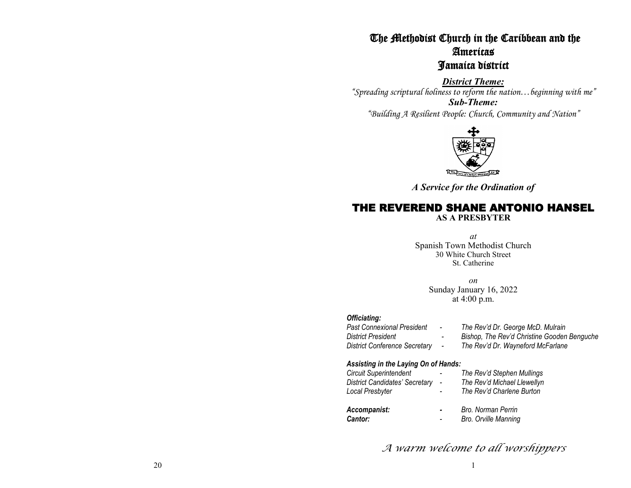# The Methodist Church in the Caribbean and the Americas Jamaica district

*District Theme: "Spreading scriptural holiness to reform the nation…beginning with me" Sub-Theme: "Building A Resilient People: Church, Community and Nation"* 



*A Service for the Ordination of*

# THE REVEREND SHANE ANTONIO HANSEL

**AS A PRESBYTER** 

*at* Spanish Town Methodist Church 30 White Church Street St. Catherine

> *on* Sunday January 16, 2022 at 4:00 p.m.

# *Officiating:*

| <b>Past Connexional President</b>    | $\sim$ | The Rev'd Dr. George McD. Mulrain           |
|--------------------------------------|--------|---------------------------------------------|
| <b>District President</b>            | $\sim$ | Bishop, The Rev'd Christine Gooden Benguche |
| <b>District Conference Secretary</b> | $\sim$ | The Rev'd Dr. Wayneford McFarlane           |

# *Assisting in the Laying On of Hands:*

| <b>Circuit Superintendent</b><br><b>District Candidates' Secretary</b><br>Local Presbyter |                          | The Rev'd Stephen Mullings<br>The Rev'd Michael Llewellyn<br>The Rev'd Charlene Burton |
|-------------------------------------------------------------------------------------------|--------------------------|----------------------------------------------------------------------------------------|
| Accompanist:<br>Cantor:                                                                   | $\overline{\phantom{a}}$ | Bro. Norman Perrin<br>Bro. Orville Manning                                             |

*A warm welcome to all worshippers*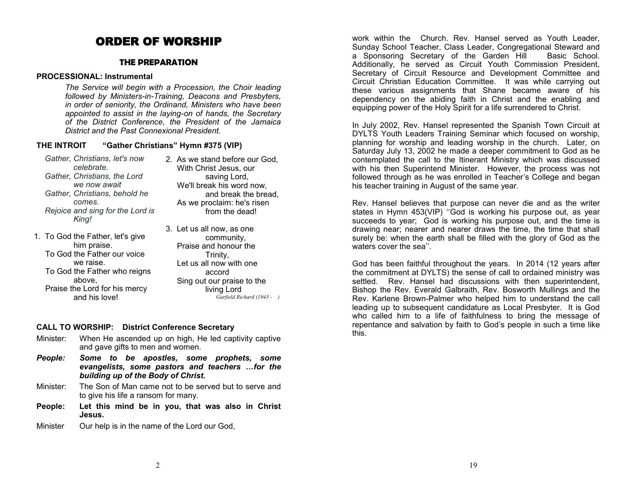# ORDER OF WORSHIP

### **THE PREPARATION**

#### **PROCESSIONAL: Instrumental**

*The Service will begin with a Procession, the Choir leading followed by Ministers-in-Training, Deacons and Presbyters, in order of seniority, the Ordinand, Ministers who have been appointed to assist in the laying-on of hands, the Secretary of the District Conference, the President of the Jamaica District and the Past Connexional President.*

#### **THE INTROIT "Gather Christians" Hymn #375 (VIP)**

- *Gather, Christians, let's now celebrate. Gather, Christians, the Lord we now await Gather, Christians, behold he comes. Rejoice and sing for the Lord is King!*
- 1. To God the Father, let's give him praise. To God the Father our voice we raise. To God the Father who reigns above, Praise the Lord for his mercy and his love!
- 2. As we stand before our God, With Christ Jesus, our saving Lord, We'll break his word now, and break the bread, As we proclaim: he's risen from the dead!
- 3. Let us all now, as one community, Praise and honour the Trinity, Let us all now with one accord Sing out our praise to the living Lord *Garfield Richard (1943 - )*

#### **CALL TO WORSHIP: District Conference Secretary**

- Minister: When He ascended up on high, He led captivity captive and gave gifts to men and women.
- *People: Some to be apostles, some prophets, some evangelists, some pastors and teachers …for the building up of the Body of Christ.*
- Minister: The Son of Man came not to be served but to serve and to give his life a ransom for many.
- **People: Let this mind be in you, that was also in Christ Jesus.**
- Minister Our help is in the name of the Lord our God,

work within the Church. Rev. Hansel served as Youth Leader, Sunday School Teacher, Class Leader, Congregational Steward and a Sponsoring Secretary of the Garden Hill Basic School. Additionally, he served as Circuit Youth Commission President, Secretary of Circuit Resource and Development Committee and Circuit Christian Education Committee. It was while carrying out these various assignments that Shane became aware of his dependency on the abiding faith in Christ and the enabling and equipping power of the Holy Spirit for a life surrendered to Christ.

In July 2002, Rev. Hansel represented the Spanish Town Circuit at DYLTS Youth Leaders Training Seminar which focused on worship, planning for worship and leading worship in the church. Later, on Saturday July 13, 2002 he made a deeper commitment to God as he contemplated the call to the Itinerant Ministry which was discussed with his then Superintend Minister. However, the process was not followed through as he was enrolled in Teacher's College and began his teacher training in August of the same year.

Rev. Hansel believes that purpose can never die and as the writer states in Hymn 453(VIP) ''God is working his purpose out, as year succeeds to year; God is working his purpose out, and the time is drawing near; nearer and nearer draws the time, the time that shall surely be: when the earth shall be filled with the glory of God as the waters cover the sea".

God has been faithful throughout the years. In 2014 (12 years after the commitment at DYLTS) the sense of call to ordained ministry was settled. Rev. Hansel had discussions with then superintendent, Bishop the Rev. Everald Galbraith, Rev. Bosworth Mullings and the Rev. Karlene Brown-Palmer who helped him to understand the call leading up to subsequent candidature as Local Presbyter. It is God who called him to a life of faithfulness to bring the message of repentance and salvation by faith to God's people in such a time like this.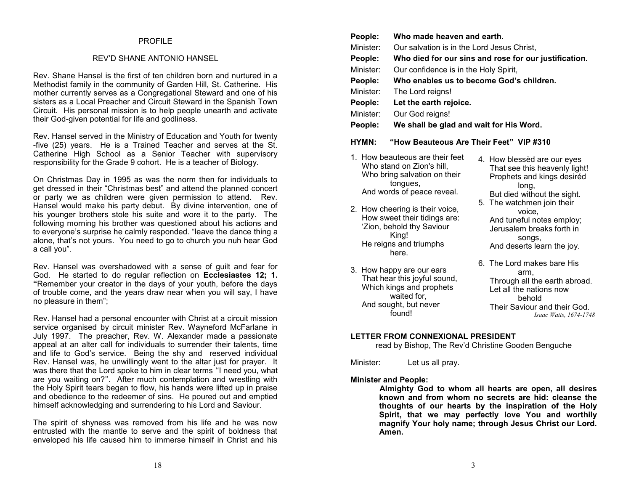### PROFILE

#### REV'D SHANE ANTONIO HANSEL

Rev. Shane Hansel is the first of ten children born and nurtured in a Methodist family in the community of Garden Hill, St. Catherine. His mother currently serves as a Congregational Steward and one of his sisters as a Local Preacher and Circuit Steward in the Spanish Town Circuit. His personal mission is to help people unearth and activate their God-given potential for life and godliness.

Rev. Hansel served in the Ministry of Education and Youth for twenty -five (25) years. He is a Trained Teacher and serves at the St. Catherine High School as a Senior Teacher with supervisory responsibility for the Grade 9 cohort. He is a teacher of Biology.

On Christmas Day in 1995 as was the norm then for individuals to get dressed in their "Christmas best" and attend the planned concert or party we as children were given permission to attend. Rev. Hansel would make his party debut. By divine intervention, one of his younger brothers stole his suite and wore it to the party. The following morning his brother was questioned about his actions and to everyone's surprise he calmly responded. "leave the dance thing a alone, that's not yours. You need to go to church you nuh hear God a call you".

Rev. Hansel was overshadowed with a sense of guilt and fear for God. He started to do regular reflection on **Ecclesiastes 12; 1. "**Remember your creator in the days of your youth, before the days of trouble come, and the years draw near when you will say, I have no pleasure in them";

Rev. Hansel had a personal encounter with Christ at a circuit mission service organised by circuit minister Rev. Wayneford McFarlane in July 1997. The preacher, Rev. W. Alexander made a passionate appeal at an alter call for individuals to surrender their talents, time and life to God's service. Being the shy and reserved individual Rev. Hansel was, he unwillingly went to the altar just for prayer. It was there that the Lord spoke to him in clear terms ''I need you, what are you waiting on?''. After much contemplation and wrestling with the Holy Spirit tears began to flow, his hands were lifted up in praise and obedience to the redeemer of sins. He poured out and emptied himself acknowledging and surrendering to his Lord and Saviour.

The spirit of shyness was removed from his life and he was now entrusted with the mantle to serve and the spirit of boldness that enveloped his life caused him to immerse himself in Christ and his

| People:   | Who made heaven and earth.                            |
|-----------|-------------------------------------------------------|
| Minister: | Our salvation is in the Lord Jesus Christ,            |
| People:   | Who died for our sins and rose for our justification. |
| Minister: | Our confidence is in the Holy Spirit,                 |
| People:   | Who enables us to become God's children.              |
| Minister: | The Lord reigns!                                      |
| People:   | Let the earth rejoice.                                |
| Minister: | Our God reigns!                                       |
| People:   | We shall be glad and wait for His Word.               |
| HYMN:     | "How Beauteous Are Their Feet" VIP #310               |

1. How beauteous are their feet Who stand on Zion's hill, Who bring salvation on their tongues, And words of peace reveal.

2. How cheering is their voice, How sweet their tidings are: 'Zion, behold thy Saviour King! He reigns and triumphs here.

3. How happy are our ears That hear this joyful sound, Which kings and prophets waited for, And sought, but never found!

4. How blessèd are our eyes That see this heavenly light! Prophets and kings desiréd long, But died without the sight. 5. The watchmen join their voice,

And tuneful notes employ; Jerusalem breaks forth in songs, And deserts learn the joy.

6. The Lord makes bare His arm, Through all the earth abroad. Let all the nations now behold Their Saviour and their God. *Isaac Watts, 1674-1748*

#### **LETTER FROM CONNEXIONAL PRESIDENT**

read by Bishop, The Rev'd Christine Gooden Benguche

Minister: Let us all pray.

**Minister and People:**

**Almighty God to whom all hearts are open, all desires known and from whom no secrets are hid: cleanse the thoughts of our hearts by the inspiration of the Holy Spirit, that we may perfectly love You and worthily magnify Your holy name; through Jesus Christ our Lord. Amen.**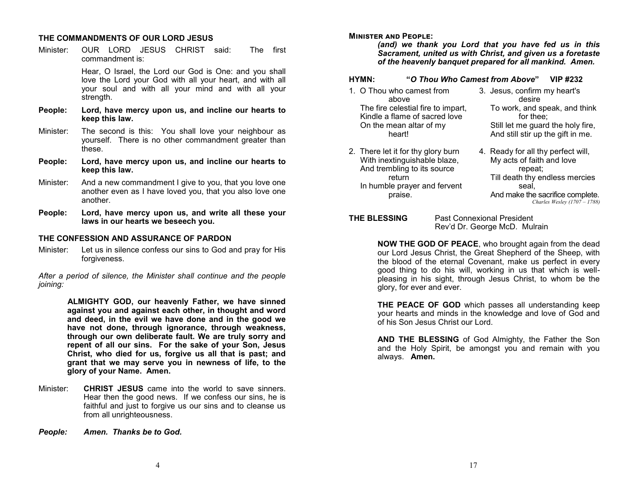# **THE COMMANDMENTS OF OUR LORD JESUS**

Minister: OUR LORD JESUS CHRIST said: The first commandment is:

> Hear, O Israel, the Lord our God is One: and you shall love the Lord your God with all your heart, and with all your soul and with all your mind and with all your strength.

- **People: Lord, have mercy upon us, and incline our hearts to keep this law.**
- Minister: The second is this: You shall love your neighbour as yourself. There is no other commandment greater than these.
- **People: Lord, have mercy upon us, and incline our hearts to keep this law.**
- Minister: And a new commandment I give to you, that you love one another even as I have loved you, that you also love one another.
- **People: Lord, have mercy upon us, and write all these your laws in our hearts we beseech you.**

### **THE CONFESSION AND ASSURANCE OF PARDON**

Minister: Let us in silence confess our sins to God and pray for His forgiveness.

*After a period of silence, the Minister shall continue and the people joining:*

> **ALMIGHTY GOD, our heavenly Father, we have sinned against you and against each other, in thought and word and deed, in the evil we have done and in the good we have not done, through ignorance, through weakness, through our own deliberate fault. We are truly sorry and repent of all our sins. For the sake of your Son, Jesus Christ, who died for us, forgive us all that is past; and grant that we may serve you in newness of life, to the glory of your Name. Amen.**

- Minister: **CHRIST JESUS** came into the world to save sinners. Hear then the good news. If we confess our sins, he is faithful and just to forgive us our sins and to cleanse us from all unrighteousness.
- *People: Amen. Thanks be to God.*

### **Minister and People:**

*(and) we thank you Lord that you have fed us in this Sacrament, united us with Christ, and given us a foretaste of the heavenly banquet prepared for all mankind. Amen.*

# **HYMN: "***O Thou Who Camest from Above***" VIP #232**

- 1. O Thou who camest from above The fire celestial fire to impart, Kindle a flame of sacred love On the mean altar of my heart!
- 2. There let it for thy glory burn With inextinguishable blaze, And trembling to its source return In humble prayer and fervent praise.
- 3. Jesus, confirm my heart's desire To work, and speak, and think for thee; Still let me guard the holy fire, And still stir up the gift in me.
- 4. Ready for all thy perfect will, My acts of faith and love repeat; Till death thy endless mercies seal, And make the sacrifice complete. *Charles Wesley (1707 – 1788)*

# **THE BLESSING** Past Connexional President

Rev'd Dr. George McD. Mulrain

**NOW THE GOD OF PEACE**, who brought again from the dead our Lord Jesus Christ, the Great Shepherd of the Sheep, with the blood of the eternal Covenant, make us perfect in every good thing to do his will, working in us that which is wellpleasing in his sight, through Jesus Christ, to whom be the glory, for ever and ever.

**THE PEACE OF GOD** which passes all understanding keep your hearts and minds in the knowledge and love of God and of his Son Jesus Christ our Lord.

**AND THE BLESSING** of God Almighty, the Father the Son and the Holy Spirit, be amongst you and remain with you always. **Amen.**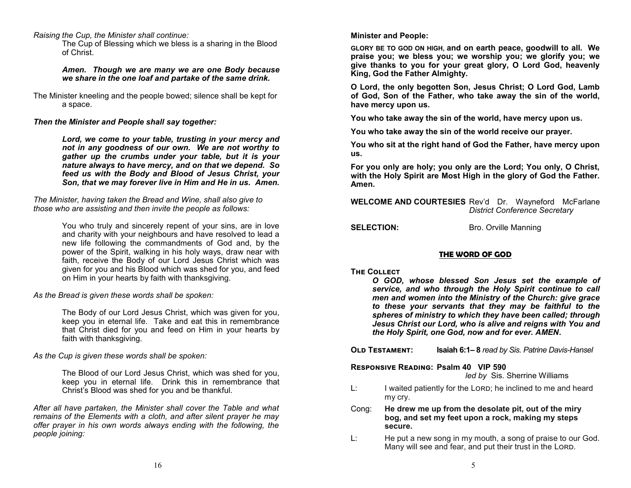*Raising the Cup, the Minister shall continue:*

The Cup of Blessing which we bless is a sharing in the Blood of Christ.

*Amen. Though we are many we are one Body because we share in the one loaf and partake of the same drink.*

The Minister kneeling and the people bowed; silence shall be kept for a space.

*Then the Minister and People shall say together:*

*Lord, we come to your table, trusting in your mercy and not in any goodness of our own. We are not worthy to gather up the crumbs under your table, but it is your nature always to have mercy, and on that we depend. So feed us with the Body and Blood of Jesus Christ, your Son, that we may forever live in Him and He in us. Amen.*

*The Minister, having taken the Bread and Wine, shall also give to those who are assisting and then invite the people as follows:*

> You who truly and sincerely repent of your sins, are in love and charity with your neighbours and have resolved to lead a new life following the commandments of God and, by the power of the Spirit, walking in his holy ways, draw near with faith, receive the Body of our Lord Jesus Christ which was given for you and his Blood which was shed for you, and feed on Him in your hearts by faith with thanksgiving.

*As the Bread is given these words shall be spoken:*

The Body of our Lord Jesus Christ, which was given for you, keep you in eternal life. Take and eat this in remembrance that Christ died for you and feed on Him in your hearts by faith with thanksgiving.

*As the Cup is given these words shall be spoken:*

The Blood of our Lord Jesus Christ, which was shed for you, keep you in eternal life. Drink this in remembrance that Christ's Blood was shed for you and be thankful.

*After all have partaken, the Minister shall cover the Table and what remains of the Elements with a cloth, and after silent prayer he may offer prayer in his own words always ending with the following, the people joining:*

**Minister and People:**

**GLORY BE TO GOD ON HIGH, and on earth peace, goodwill to all. We praise you; we bless you; we worship you; we glorify you; we give thanks to you for your great glory, O Lord God, heavenly King, God the Father Almighty.**

**O Lord, the only begotten Son, Jesus Christ; O Lord God, Lamb of God, Son of the Father, who take away the sin of the world, have mercy upon us.**

**You who take away the sin of the world, have mercy upon us.**

**You who take away the sin of the world receive our prayer.**

**You who sit at the right hand of God the Father, have mercy upon us.**

**For you only are holy; you only are the Lord; You only, O Christ, with the Holy Spirit are Most High in the glory of God the Father. Amen.**

**WELCOME AND COURTESIES** Rev'd Dr. Wayneford McFarlane *District Conference Secretary*

**SELECTION:** Bro. Orville Manning

# **THE WORD OF GOD**

#### **The Collect**

*O GOD, whose blessed Son Jesus set the example of service, and who through the Holy Spirit continue to call men and women into the Ministry of the Church: give grace to these your servants that they may be faithful to the spheres of ministry to which they have been called; through Jesus Christ our Lord, who is alive and reigns with You and the Holy Spirit, one God, now and for ever. AMEN***.**

| <b>OLD TESTAMENT:</b> | <b>Isaiah 6:1–8</b> read by Sis. Patrine Davis-Hansel |
|-----------------------|-------------------------------------------------------|
|-----------------------|-------------------------------------------------------|

**Responsive Reading: Psalm 40 VIP 590**

*led by* Sis. Sherrine Williams

- $L:$  I waited patiently for the LORD; he inclined to me and heard my cry.
- Cong: **He drew me up from the desolate pit, out of the miry bog, and set my feet upon a rock, making my steps secure.**
- L: He put a new song in my mouth, a song of praise to our God. Many will see and fear, and put their trust in the LORD.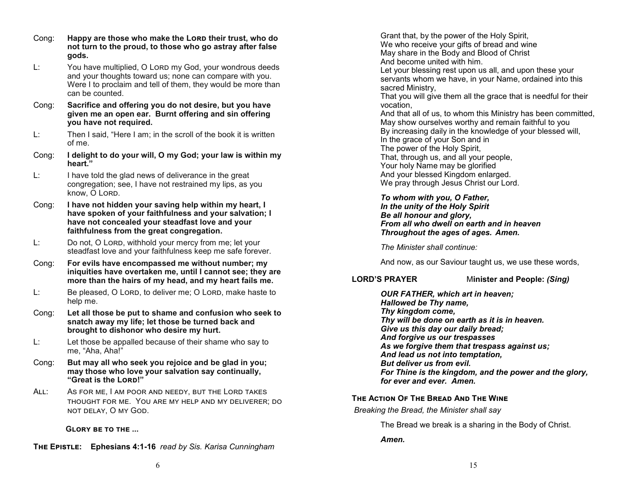- Cong: Happy are those who make the Lorp their trust, who do **not turn to the proud, to those who go astray after false gods.**
- L: You have multiplied, O Lord my God, your wondrous deeds and your thoughts toward us; none can compare with you. Were I to proclaim and tell of them, they would be more than can be counted.
- Cong: **Sacrifice and offering you do not desire, but you have given me an open ear. Burnt offering and sin offering you have not required.**
- L: Then I said, "Here I am; in the scroll of the book it is written of me.
- Cong: **I delight to do your will, O my God; your law is within my heart."**
- L: I have told the glad news of deliverance in the great congregation; see, I have not restrained my lips, as you know. O Lord.
- Cong: **I have not hidden your saving help within my heart, I have spoken of your faithfulness and your salvation; I have not concealed your steadfast love and your faithfulness from the great congregation.**
- L: Do not, O Lord, withhold your mercy from me; let your steadfast love and your faithfulness keep me safe forever.
- Cong: **For evils have encompassed me without number; my iniquities have overtaken me, until I cannot see; they are more than the hairs of my head, and my heart fails me.**
- L: Be pleased, O Lord, to deliver me; O Lord, make haste to help me.
- Cong: **Let all those be put to shame and confusion who seek to snatch away my life; let those be turned back and brought to dishonor who desire my hurt.**
- L: Let those be appalled because of their shame who say to me, "Aha, Aha!"
- Cong: **But may all who seek you rejoice and be glad in you; may those who love your salvation say continually, "Great is the Lord!"**
- All: As for me, I am poor and needy, but the Lord takes thought for me. You are my help and my deliverer; do not delay, O my God.

**Glory be to the ...**

**The Epistle: Ephesians 4:1-16** *read by Sis. Karisa Cunningham* 

Grant that, by the power of the Holy Spirit, We who receive your gifts of bread and wine May share in the Body and Blood of Christ And become united with him.

Let your blessing rest upon us all, and upon these your servants whom we have, in your Name, ordained into this sacred Ministry,

That you will give them all the grace that is needful for their vocation,

And that all of us, to whom this Ministry has been committed, May show ourselves worthy and remain faithful to you By increasing daily in the knowledge of your blessed will, In the grace of your Son and in The power of the Holy Spirit, That, through us, and all your people, Your holy Name may be glorified And your blessed Kingdom enlarged. We pray through Jesus Christ our Lord.

*To whom with you, O Father, In the unity of the Holy Spirit Be all honour and glory, From all who dwell on earth and in heaven Throughout the ages of ages. Amen.*

*The Minister shall continue:*

And now, as our Saviour taught us, we use these words,

**LORD'S PRAYER** M**inister and People:** *(Sing)*

*OUR FATHER, which art in heaven; Hallowed be Thy name, Thy kingdom come, Thy will be done on earth as it is in heaven. Give us this day our daily bread; And forgive us our trespasses As we forgive them that trespass against us; And lead us not into temptation, But deliver us from evil. For Thine is the kingdom, and the power and the glory, for ever and ever. Amen.*

# **The Action Of The Bread And The Wine**

*Breaking the Bread, the Minister shall say*

The Bread we break is a sharing in the Body of Christ.

*Amen.*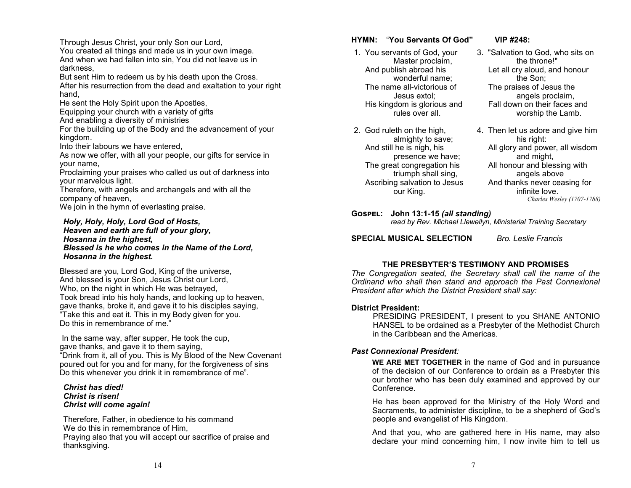Through Jesus Christ, your only Son our Lord,

You created all things and made us in your own image. And when we had fallen into sin, You did not leave us in darkness,

But sent Him to redeem us by his death upon the Cross. After his resurrection from the dead and exaltation to your right hand,

He sent the Holy Spirit upon the Apostles,

Equipping your church with a variety of gifts

And enabling a diversity of ministries

For the building up of the Body and the advancement of your kingdom.

Into their labours we have entered,

As now we offer, with all your people, our gifts for service in your name,

Proclaiming your praises who called us out of darkness into your marvelous light.

Therefore, with angels and archangels and with all the company of heaven,

We join in the hymn of everlasting praise.

#### *Holy, Holy, Holy, Lord God of Hosts, Heaven and earth are full of your glory, Hosanna in the highest, Blessed is he who comes in the Name of the Lord, Hosanna in the highest.*

Blessed are you, Lord God, King of the universe, And blessed is your Son, Jesus Christ our Lord, Who, on the night in which He was betrayed, Took bread into his holy hands, and looking up to heaven, gave thanks, broke it, and gave it to his disciples saying, "Take this and eat it. This in my Body given for you. Do this in remembrance of me."

In the same way, after supper, He took the cup, gave thanks, and gave it to them saying, "Drink from it, all of you. This is My Blood of the New Covenant poured out for you and for many, for the forgiveness of sins Do this whenever you drink it in remembrance of me".

#### *Christ has died! Christ is risen! Christ will come again!*

Therefore, Father, in obedience to his command We do this in remembrance of Him, Praying also that you will accept our sacrifice of praise and thanksgiving.

# **HYMN:** "**You Servants Of God" VIP #248:**

- 1. You servants of God, your Master proclaim, And publish abroad his wonderful name; The name all-victorious of Jesus extol; His kingdom is glorious and rules over all.
- 2. God ruleth on the high, almighty to save; And still he is nigh, his presence we have; The great congregation his triumph shall sing, Ascribing salvation to Jesus our King.

- 3. "Salvation to God, who sits on the throne!" Let all cry aloud, and honour the Son; The praises of Jesus the angels proclaim, Fall down on their faces and worship the Lamb.
- 4. Then let us adore and give him his right: All glory and power, all wisdom and might, All honour and blessing with angels above And thanks never ceasing for infinite love. *Charles Wesley (1707-1788)*

#### **Gospel: John 13:1-15** *(all standing) read by Rev. Michael Llewellyn, Ministerial Training Secretary*

# **SPECIAL MUSICAL SELECTION** *Bro. Leslie Francis*

# **THE PRESBYTER'S TESTIMONY AND PROMISES**

*The Congregation seated, the Secretary shall call the name of the Ordinand who shall then stand and approach the Past Connexional President after which the District President shall say:*

# **District President:**

PRESIDING PRESIDENT, I present to you SHANE ANTONIO HANSEL to be ordained as a Presbyter of the Methodist Church in the Caribbean and the Americas.

# *Past Connexional President:*

**WE ARE MET TOGETHER** in the name of God and in pursuance of the decision of our Conference to ordain as a Presbyter this our brother who has been duly examined and approved by our Conference.

He has been approved for the Ministry of the Holy Word and Sacraments, to administer discipline, to be a shepherd of God's people and evangelist of His Kingdom.

And that you, who are gathered here in His name, may also declare your mind concerning him, I now invite him to tell us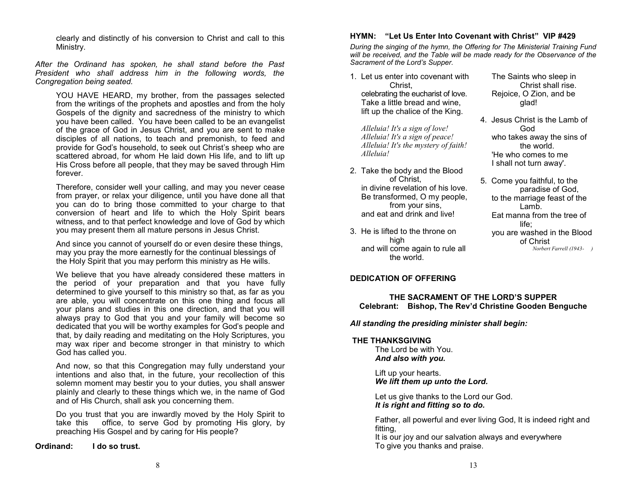clearly and distinctly of his conversion to Christ and call to this Ministry.

*After the Ordinand has spoken, he shall stand before the Past President who shall address him in the following words, the Congregation being seated.*

YOU HAVE HEARD, my brother, from the passages selected from the writings of the prophets and apostles and from the holy Gospels of the dignity and sacredness of the ministry to which you have been called. You have been called to be an evangelist of the grace of God in Jesus Christ, and you are sent to make disciples of all nations, to teach and premonish, to feed and provide for God's household, to seek out Christ's sheep who are scattered abroad, for whom He laid down His life, and to lift up His Cross before all people, that they may be saved through Him forever.

Therefore, consider well your calling, and may you never cease from prayer, or relax your diligence, until you have done all that you can do to bring those committed to your charge to that conversion of heart and life to which the Holy Spirit bears witness, and to that perfect knowledge and love of God by which you may present them all mature persons in Jesus Christ.

And since you cannot of yourself do or even desire these things, may you pray the more earnestly for the continual blessings of the Holy Spirit that you may perform this ministry as He wills.

We believe that you have already considered these matters in the period of your preparation and that you have fully determined to give yourself to this ministry so that, as far as you are able, you will concentrate on this one thing and focus all your plans and studies in this one direction, and that you will always pray to God that you and your family will become so dedicated that you will be worthy examples for God's people and that, by daily reading and meditating on the Holy Scriptures, you may wax riper and become stronger in that ministry to which God has called you.

And now, so that this Congregation may fully understand your intentions and also that, in the future, your recollection of this solemn moment may bestir you to your duties, you shall answer plainly and clearly to these things which we, in the name of God and of His Church, shall ask you concerning them.

Do you trust that you are inwardly moved by the Holy Spirit to take this office, to serve God by promoting His glory, by preaching His Gospel and by caring for His people?

**Ordinand: I do so trust.**

### **HYMN: "Let Us Enter Into Covenant with Christ" VIP #429**

*During the singing of the hymn, the Offering for The Ministerial Training Fund will be received, and the Table will be made ready for the Observance of the Sacrament of the Lord's Supper.*

1. Let us enter into covenant with Christ, celebrating the eucharist of love.

Take a little bread and wine, lift up the chalice of the King.

*Alleluia! It's a sign of love! Alleluia! It's a sign of peace! Alleluia! It's the mystery of faith! Alleluia!*

- 2. Take the body and the Blood of Christ, in divine revelation of his love. Be transformed, O my people, from your sins, and eat and drink and live!
- 3. He is lifted to the throne on high and will come again to rule all the world.

#### The Saints who sleep in Christ shall rise. Rejoice, O Zion, and be glad!

- 4. Jesus Christ is the Lamb of God who takes away the sins of the world. 'He who comes to me I shall not turn away'.
- 5. Come you faithful, to the paradise of God, to the marriage feast of the Lamb. Eat manna from the tree of life; you are washed in the Blood of Christ *Norbert Farrell (1943- )*

#### **DEDICATION OF OFFERING**

#### **THE SACRAMENT OF THE LORD'S SUPPER Celebrant: Bishop, The Rev'd Christine Gooden Benguche**

*All standing the presiding minister shall begin:*

#### **THE THANKSGIVING**

The Lord be with You. *And also with you.*

Lift up your hearts. *We lift them up unto the Lord.*

Let us give thanks to the Lord our God. *It is right and fitting so to do.*

Father, all powerful and ever living God, It is indeed right and fitting,

It is our joy and our salvation always and everywhere To give you thanks and praise.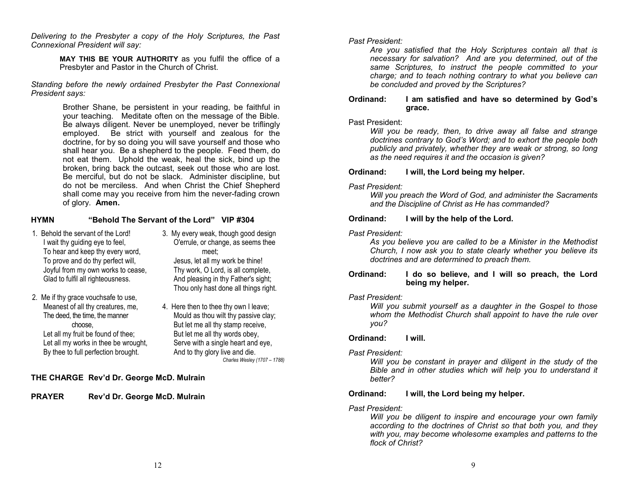*Delivering to the Presbyter a copy of the Holy Scriptures, the Past Connexional President will say:*

> **MAY THIS BE YOUR AUTHORITY** as you fulfil the office of a Presbyter and Pastor in the Church of Christ.

*Standing before the newly ordained Presbyter the Past Connexional President says:*

> Brother Shane, be persistent in your reading, be faithful in your teaching. Meditate often on the message of the Bible. Be always diligent. Never be unemployed, never be triflingly employed. Be strict with yourself and zealous for the doctrine, for by so doing you will save yourself and those who shall hear you. Be a shepherd to the people. Feed them, do not eat them. Uphold the weak, heal the sick, bind up the broken, bring back the outcast, seek out those who are lost. Be merciful, but do not be slack. Administer discipline, but do not be merciless. And when Christ the Chief Shepherd shall come may you receive from him the never-fading crown of glory. **Amen.**

### **HYMN "Behold The Servant of the Lord" VIP #304**

- 1. Behold the servant of the Lord! I wait thy guiding eye to feel, To hear and keep thy every word, To prove and do thy perfect will, Joyful from my own works to cease, Glad to fulfil all righteousness.
- 2. Me if thy grace vouchsafe to use, Meanest of all thy creatures, me, The deed, the time, the manner choose, Let all my fruit be found of thee; Let all my works in thee be wrought, By thee to full perfection brought.
- 3. My every weak, though good design O'errule, or change, as seems thee meet; Jesus, let all my work be thine! Thy work, O Lord, is all complete, And pleasing in thy Father's sight; Thou only hast done all things right.
- 4. Here then to thee thy own I leave; Mould as thou wilt thy passive clay; But let me all thy stamp receive, But let me all thy words obey, Serve with a single heart and eye, And to thy glory live and die. *Charles Wesley (1707 – 1788)*

# **THE CHARGE Rev'd Dr. George McD. Mulrain**

**PRAYER Rev'd Dr. George McD. Mulrain** 

# *Past President:*

*Are you satisfied that the Holy Scriptures contain all that is necessary for salvation? And are you determined, out of the same Scriptures, to instruct the people committed to your charge; and to teach nothing contrary to what you believe can be concluded and proved by the Scriptures?*

#### **Ordinand: I am satisfied and have so determined by God's grace.**

#### Past President:

*Will you be ready, then, to drive away all false and strange doctrines contrary to God's Word; and to exhort the people both publicly and privately, whether they are weak or strong, so long as the need requires it and the occasion is given?*

#### **Ordinand: I will, the Lord being my helper.**

#### *Past President:*

*Will you preach the Word of God, and administer the Sacraments and the Discipline of Christ as He has commanded?*

#### **Ordinand: I will by the help of the Lord.**

#### *Past President:*

*As you believe you are called to be a Minister in the Methodist Church, I now ask you to state clearly whether you believe its doctrines and are determined to preach them.*

#### **Ordinand: I do so believe, and I will so preach, the Lord being my helper.**

# *Past President:*

*Will you submit yourself as a daughter in the Gospel to those whom the Methodist Church shall appoint to have the rule over you?*

# **Ordinand: I will.**

# *Past President:*

*Will you be constant in prayer and diligent in the study of the Bible and in other studies which will help you to understand it better?*

# **Ordinand: I will, the Lord being my helper.**

# *Past President:*

*Will you be diligent to inspire and encourage your own family according to the doctrines of Christ so that both you, and they with you, may become wholesome examples and patterns to the flock of Christ?*